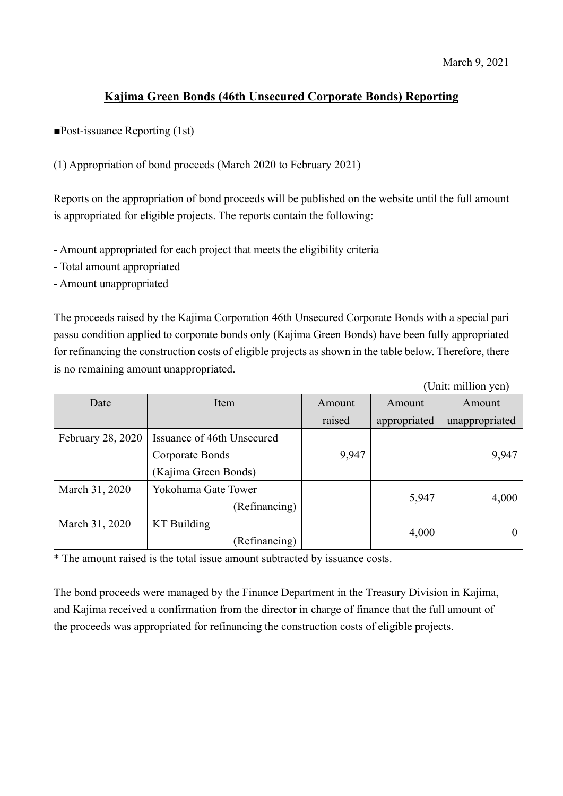## **Kajima Green Bonds (46th Unsecured Corporate Bonds) Reporting**

■Post-issuance Reporting (1st)

(1) Appropriation of bond proceeds (March 2020 to February 2021)

Reports on the appropriation of bond proceeds will be published on the website until the full amount is appropriated for eligible projects. The reports contain the following:

- Amount appropriated for each project that meets the eligibility criteria

- Total amount appropriated

- Amount unappropriated

The proceeds raised by the Kajima Corporation 46th Unsecured Corporate Bonds with a special pari passu condition applied to corporate bonds only (Kajima Green Bonds) have been fully appropriated for refinancing the construction costs of eligible projects as shown in the table below. Therefore, there is no remaining amount unappropriated.

(Unit: million yen)

| Date                     | Item                       | Amount | Amount       | Amount         |
|--------------------------|----------------------------|--------|--------------|----------------|
|                          |                            | raised | appropriated | unappropriated |
| <b>February 28, 2020</b> | Issuance of 46th Unsecured |        |              |                |
|                          | Corporate Bonds            | 9,947  |              | 9,947          |
|                          | (Kajima Green Bonds)       |        |              |                |
| March 31, 2020           | Yokohama Gate Tower        |        |              |                |
|                          | (Refinancing)              |        | 5,947        | 4,000          |
| March 31, 2020           | <b>KT</b> Building         |        |              |                |
|                          | (Refinancing)              |        | 4,000        |                |

\* The amount raised is the total issue amount subtracted by issuance costs.

The bond proceeds were managed by the Finance Department in the Treasury Division in Kajima, and Kajima received a confirmation from the director in charge of finance that the full amount of the proceeds was appropriated for refinancing the construction costs of eligible projects.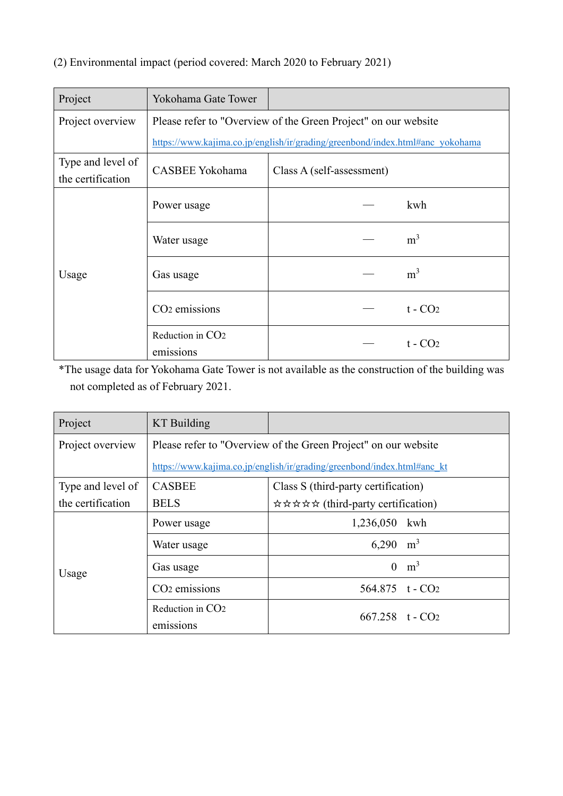## (2) Environmental impact (period covered: March 2020 to February 2021)

| Project                                | Yokohama Gate Tower                                                           |                           |  |
|----------------------------------------|-------------------------------------------------------------------------------|---------------------------|--|
| Project overview                       | Please refer to "Overview of the Green Project" on our website                |                           |  |
|                                        | https://www.kajima.co.jp/english/ir/grading/greenbond/index.html#anc_yokohama |                           |  |
| Type and level of<br>the certification | CASBEE Yokohama                                                               | Class A (self-assessment) |  |
| Usage                                  | Power usage                                                                   | kwh                       |  |
|                                        | Water usage                                                                   | m <sup>3</sup>            |  |
|                                        | Gas usage                                                                     | m <sup>3</sup>            |  |
|                                        | CO <sub>2</sub> emissions                                                     | $t - CO2$                 |  |
|                                        | Reduction in CO <sub>2</sub><br>emissions                                     | $t - CO2$                 |  |

\*The usage data for Yokohama Gate Tower is not available as the construction of the building was not completed as of February 2021.

| Project           | KT Building                                                             |                                     |  |
|-------------------|-------------------------------------------------------------------------|-------------------------------------|--|
| Project overview  | Please refer to "Overview of the Green Project" on our website          |                                     |  |
|                   | https://www.kajima.co.jp/english/ir/grading/greenbond/index.html#anc kt |                                     |  |
| Type and level of | <b>CASBEE</b>                                                           | Class S (third-party certification) |  |
| the certification | <b>BELS</b>                                                             | ☆☆☆☆☆ (third-party certification)   |  |
| Usage             | Power usage                                                             | 1,236,050 kwh                       |  |
|                   | Water usage                                                             | $6,290 \text{ m}^3$                 |  |
|                   | Gas usage                                                               | m <sup>3</sup><br>$\theta$          |  |
|                   | CO <sub>2</sub> emissions                                               | 564.875 $t - CO2$                   |  |
|                   | Reduction in CO <sub>2</sub>                                            | $667.258$ t - $CO2$                 |  |
|                   | emissions                                                               |                                     |  |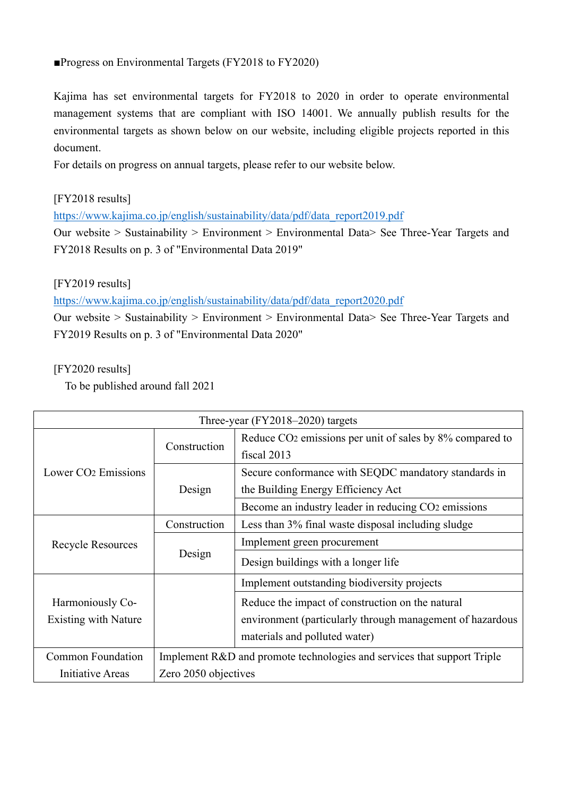## ■Progress on Environmental Targets (FY2018 to FY2020)

Kajima has set environmental targets for FY2018 to 2020 in order to operate environmental management systems that are compliant with ISO 14001. We annually publish results for the environmental targets as shown below on our website, including eligible projects reported in this document.

For details on progress on annual targets, please refer to our website below.

[FY2018 results]

[https://www.kajima.co.jp/english/sustainability/data/pdf/data\\_report2019.pdf](https://www.kajima.co.jp/english/sustainability/data/pdf/data_report2019.pdf)

Our website > Sustainability > Environment > Environmental Data> See Three-Year Targets and FY2018 Results on p. 3 of "Environmental Data 2019"

## [FY2019 results]

[https://www.kajima.co.jp/english/sustainability/data/pdf/data\\_report2020.pdf](https://www.kajima.co.jp/english/sustainability/data/pdf/data_report2020.pdf)

Our website > Sustainability > Environment > Environmental Data> See Three-Year Targets and FY2019 Results on p. 3 of "Environmental Data 2020"

[FY2020 results]

To be published around fall 2021

| Three-year $(FY2018-2020)$ targets |                                                                         |                                                                      |
|------------------------------------|-------------------------------------------------------------------------|----------------------------------------------------------------------|
|                                    | Construction                                                            | Reduce CO <sub>2</sub> emissions per unit of sales by 8% compared to |
|                                    |                                                                         | fiscal 2013                                                          |
| Lower CO <sub>2</sub> Emissions    |                                                                         | Secure conformance with SEQDC mandatory standards in                 |
|                                    | Design                                                                  | the Building Energy Efficiency Act                                   |
|                                    |                                                                         | Become an industry leader in reducing CO2 emissions                  |
|                                    | Construction                                                            | Less than 3% final waste disposal including sludge                   |
| Recycle Resources                  | Design                                                                  | Implement green procurement                                          |
|                                    |                                                                         | Design buildings with a longer life                                  |
|                                    |                                                                         | Implement outstanding biodiversity projects                          |
| Harmoniously Co-                   |                                                                         | Reduce the impact of construction on the natural                     |
| Existing with Nature               |                                                                         | environment (particularly through management of hazardous            |
|                                    |                                                                         | materials and polluted water)                                        |
| <b>Common Foundation</b>           | Implement R&D and promote technologies and services that support Triple |                                                                      |
| Initiative Areas                   | Zero 2050 objectives                                                    |                                                                      |